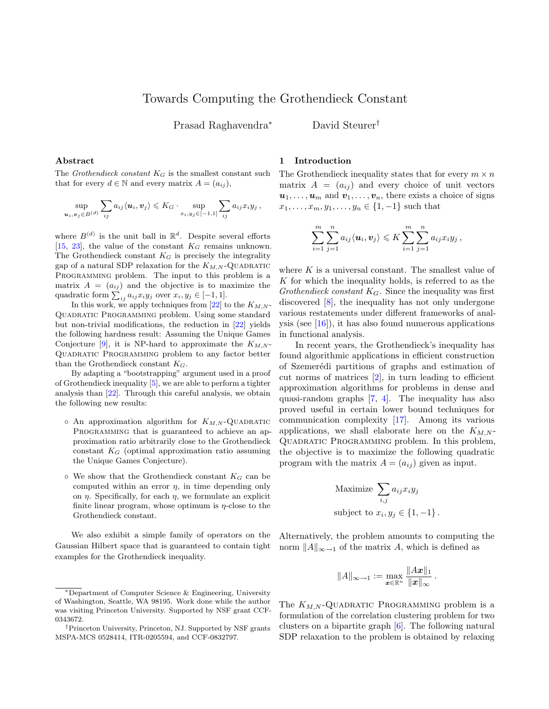# Towards Computing the Grothendieck Constant

Prasad Raghavendra<sup>∗</sup> David Steurer†

### Abstract

The Grothendieck constant  $K_G$  is the smallest constant such that for every  $d \in \mathbb{N}$  and every matrix  $A = (a_{ij}),$ 

$$
\sup_{\boldsymbol{u}_i, \boldsymbol{v}_j \in B^{(d)}} \sum_{ij} a_{ij} \langle \boldsymbol{u}_i, \boldsymbol{v}_j \rangle \leqslant K_G \cdot \sup_{x_i, y_j \in [-1,1]} \sum_{ij} a_{ij} x_i y_j,
$$

where  $B^{(d)}$  is the unit ball in  $\mathbb{R}^d$ . Despite several efforts [\[15,](#page-9-0) [23\]](#page-9-1), the value of the constant  $K_G$  remains unknown. The Grothendieck constant  $K_G$  is precisely the integrality gap of a natural SDP relaxation for the  $K_{M,N}$ -QUADRATIC PROGRAMMING problem. The input to this problem is a matrix  $A = (a_{ij})$  and the objective is to maximize the quadratic form  $\sum_{ij} a_{ij} x_i y_j$  over  $x_i, y_j \in [-1, 1]$ .

In this work, we apply techniques from [\[22\]](#page-9-2) to the  $K_{M,N}$ -Quadratic Programming problem. Using some standard but non-trivial modifications, the reduction in [\[22\]](#page-9-2) yields the following hardness result: Assuming the Unique Games Conjecture [\[9\]](#page-9-3), it is NP-hard to approximate the  $K_{M,N}$ -Quadratic Programming problem to any factor better than the Grothendieck constant  $K_G$ .

By adapting a "bootstrapping" argument used in a proof of Grothendieck inequality [\[5\]](#page-9-4), we are able to perform a tighter analysis than [\[22\]](#page-9-2). Through this careful analysis, we obtain the following new results:

- $\circ$  An approximation algorithm for  $K_{M,N}$ -QUADRATIC PROGRAMMING that is guaranteed to achieve an approximation ratio arbitrarily close to the Grothendieck constant  $K_G$  (optimal approximation ratio assuming the Unique Games Conjecture).
- $\circ$  We show that the Grothendieck constant  $K_G$  can be computed within an error  $\eta$ , in time depending only on  $\eta$ . Specifically, for each  $\eta$ , we formulate an explicit finite linear program, whose optimum is  $\eta$ -close to the Grothendieck constant.

We also exhibit a simple family of operators on the Gaussian Hilbert space that is guaranteed to contain tight examples for the Grothendieck inequality.

#### 1 Introduction

The Grothendieck inequality states that for every  $m \times n$ matrix  $A = (a_{ij})$  and every choice of unit vectors  $u_1, \ldots, u_m$  and  $v_1, \ldots, v_n$ , there exists a choice of signs  $x_1, \ldots, x_m, y_1, \ldots, y_n \in \{1, -1\}$  such that

$$
\sum_{i=1}^m \sum_{j=1}^n a_{ij} \langle \boldsymbol{u}_i, \boldsymbol{v}_j \rangle \leqslant K \sum_{i=1}^m \sum_{j=1}^n a_{ij} x_i y_j,
$$

where  $K$  is a universal constant. The smallest value of  $K$  for which the inequality holds, is referred to as the Grothendieck constant  $K_G$ . Since the inequality was first discovered [\[8\]](#page-9-5), the inequality has not only undergone various restatements under different frameworks of analysis (see  $[16]$ ), it has also found numerous applications in functional analysis.

In recent years, the Grothendieck's inequality has found algorithmic applications in efficient construction of Szemer´edi partitions of graphs and estimation of cut norms of matrices [\[2\]](#page-9-7), in turn leading to efficient approximation algorithms for problems in dense and quasi-random graphs [\[7,](#page-9-8) [4\]](#page-9-9). The inequality has also proved useful in certain lower bound techniques for communication complexity [\[17\]](#page-9-10). Among its various applications, we shall elaborate here on the  $K_{M,N}$ -Quadratic Programming problem. In this problem, the objective is to maximize the following quadratic program with the matrix  $A = (a_{ij})$  given as input.

Maximize 
$$
\sum_{i,j} a_{ij} x_i y_j
$$
  
subject to  $x_i, y_j \in \{1, -1\}$ .

Alternatively, the problem amounts to computing the norm  $||A||_{\infty\to 1}$  of the matrix A, which is defined as

$$
||A||_{\infty \to 1} := \max_{\bm{x} \in \mathbb{R}^n} \frac{||Ax||_1}{||x||_{\infty}}.
$$

The  $K_{M,N}$ -QUADRATIC PROGRAMMING problem is a formulation of the correlation clustering problem for two clusters on a bipartite graph [\[6\]](#page-9-11). The following natural SDP relaxation to the problem is obtained by relaxing

<sup>∗</sup>Department of Computer Science & Engineering, University of Washington, Seattle, WA 98195. Work done while the author was visiting Princeton University. Supported by NSF grant CCF-0343672.

<sup>†</sup>Princeton University, Princeton, NJ. Supported by NSF grants MSPA-MCS 0528414, ITR-0205594, and CCF-0832797.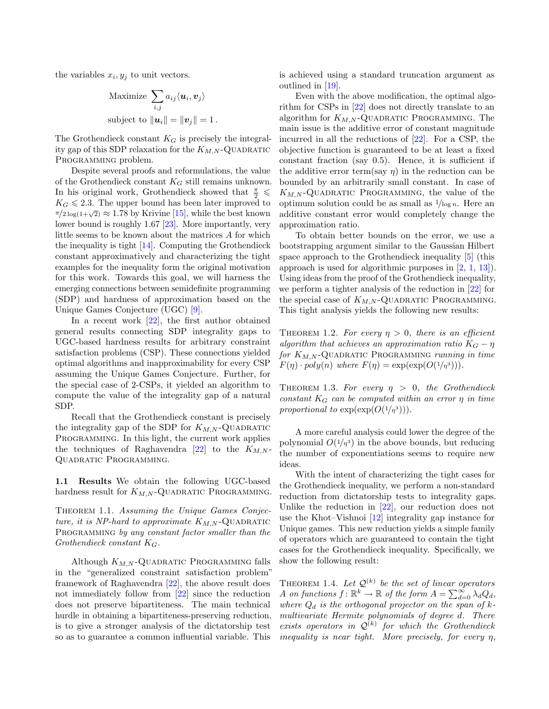the variables  $x_i, y_j$  to unit vectors.

Maximize 
$$
\sum_{i,j} a_{ij} \langle \mathbf{u}_i, \mathbf{v}_j \rangle
$$
  
subject to  $\|\mathbf{u}_i\| = \|\mathbf{v}_j\| = 1$ .

The Grothendieck constant  $K_G$  is precisely the integrality gap of this SDP relaxation for the  $K_{M,N}$ -QUADRATIC PROGRAMMING problem.

Despite several proofs and reformulations, the value of the Grothendieck constant  $K_G$  still remains unknown. In his original work, Grothendieck showed that  $\frac{\pi}{2}$   $\leqslant$  $K_G \leq 2.3$ . The upper bound has been later improved to  $\pi/2 \log(1+\sqrt{2}) \approx 1.78$  by Krivine [\[15\]](#page-9-0), while the best known lower bound is roughly 1.67 [\[23\]](#page-9-1). More importantly, very little seems to be known about the matrices A for which the inequality is tight [\[14\]](#page-9-12). Computing the Grothendieck constant approximatively and characterizing the tight examples for the inequality form the original motivation for this work. Towards this goal, we will harness the emerging connections between semidefinite programming (SDP) and hardness of approximation based on the Unique Games Conjecture (UGC) [\[9\]](#page-9-3).

In a recent work [\[22\]](#page-9-2), the first author obtained general results connecting SDP integrality gaps to UGC-based hardness results for arbitrary constraint satisfaction problems (CSP). These connections yielded optimal algorithms and inapproximability for every CSP assuming the Unique Games Conjecture. Further, for the special case of 2-CSPs, it yielded an algorithm to compute the value of the integrality gap of a natural SDP.

Recall that the Grothendieck constant is precisely the integrality gap of the SDP for  $K_{M,N}$ -QUADRATIC Programming. In this light, the current work applies the techniques of Raghavendra  $[22]$  to the  $K_{M,N}$ -Quadratic Programming.

1.1 Results We obtain the following UGC-based hardness result for  $K_{M,N}$ -QUADRATIC PROGRAMMING.

<span id="page-1-1"></span>Theorem 1.1. Assuming the Unique Games Conjecture, it is NP-hard to approximate  $K_{M,N}$ -QUADRATIC PROGRAMMING by any constant factor smaller than the Grothendieck constant  $K_G$ .

Although  $K_{M,N}$ -QUADRATIC PROGRAMMING falls in the "generalized constraint satisfaction problem" framework of Raghavendra [\[22\]](#page-9-2), the above result does not immediately follow from [\[22\]](#page-9-2) since the reduction does not preserve bipartiteness. The main technical hurdle in obtaining a bipartiteness-preserving reduction, is to give a stronger analysis of the dictatorship test so as to guarantee a common influential variable. This is achieved using a standard truncation argument as outlined in [\[19\]](#page-9-13).

Even with the above modification, the optimal algorithm for CSPs in [\[22\]](#page-9-2) does not directly translate to an algorithm for  $K_{M,N}$ -QUADRATIC PROGRAMMING. The main issue is the additive error of constant magnitude incurred in all the reductions of [\[22\]](#page-9-2). For a CSP, the objective function is guaranteed to be at least a fixed constant fraction (say 0.5). Hence, it is sufficient if the additive error term(say  $\eta$ ) in the reduction can be bounded by an arbitrarily small constant. In case of  $K_{M,N}$ -QUADRATIC PROGRAMMING, the value of the optimum solution could be as small as  $1/\log n$ . Here an additive constant error would completely change the approximation ratio.

To obtain better bounds on the error, we use a bootstrapping argument similar to the Gaussian Hilbert space approach to the Grothendieck inequality [\[5\]](#page-9-4) (this approach is used for algorithmic purposes in [\[2,](#page-9-7) [1,](#page-8-0) [13\]](#page-9-14)). Using ideas from the proof of the Grothendieck inequality, we perform a tighter analysis of the reduction in [\[22\]](#page-9-2) for the special case of  $K_{M,N}$ -QUADRATIC PROGRAMMING. This tight analysis yields the following new results:

<span id="page-1-2"></span>THEOREM 1.2. For every  $\eta > 0$ , there is an efficient algorithm that achieves an approximation ratio  $K_G - \eta$ for  $K_{M,N}$ -QUADRATIC PROGRAMMING running in time  $F(\eta) \cdot poly(n)$  where  $F(\eta) = \exp(\exp(O(1/\eta^3))).$ 

<span id="page-1-3"></span>THEOREM 1.3. For every  $\eta > 0$ , the Grothendieck constant  $K_G$  can be computed within an error  $\eta$  in time proportional to  $\exp(\exp(O(1/\eta^3))).$ 

A more careful analysis could lower the degree of the polynomial  $O(1/\eta^3)$  in the above bounds, but reducing the number of exponentiations seems to require new ideas.

With the intent of characterizing the tight cases for the Grothendieck inequality, we perform a non-standard reduction from dictatorship tests to integrality gaps. Unlike the reduction in [\[22\]](#page-9-2), our reduction does not use the Khot–Vishnoi [\[12\]](#page-9-15) integrality gap instance for Unique games. This new reduction yields a simple family of operators which are guaranteed to contain the tight cases for the Grothendieck inequality. Specifically, we show the following result:

<span id="page-1-0"></span>THEOREM 1.4. Let  $\mathcal{Q}^{(k)}$  be the set of linear operators A on functions  $f: \mathbb{R}^k \to \mathbb{R}$  of the form  $A = \sum_{d=0}^{\infty} \lambda_d Q_d$ , where  $Q_d$  is the orthogonal projector on the span of kmultivariate Hermite polynomials of degree d. There exists operators in  $\mathcal{Q}^{(k)}$  for which the Grothendieck inequality is near tight. More precisely, for every  $\eta$ ,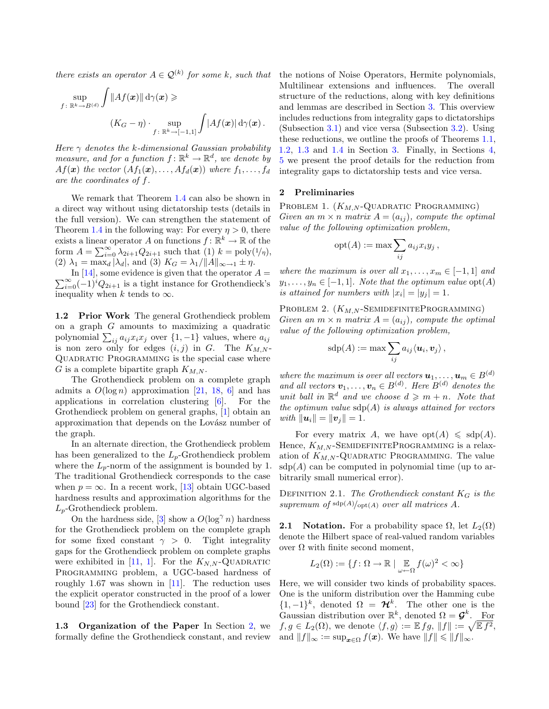there exists an operator  $A \in \mathcal{Q}^{(k)}$  for some k, such that

$$
\sup_{f: \ \mathbb{R}^k \to B^{(d)}} \int \|Af(\boldsymbol{x})\| d\gamma(\boldsymbol{x}) \geqslant \\ (K_G - \eta) \cdot \sup_{f: \ \mathbb{R}^k \to [-1,1]} \int |Af(\boldsymbol{x})| d\gamma(\boldsymbol{x}).
$$

Here  $\gamma$  denotes the k-dimensional Gaussian probability measure, and for a function  $f: \mathbb{R}^k \to \mathbb{R}^d$ , we denote by  $Af(\boldsymbol{x})$  the vector  $(Af_1(\boldsymbol{x}), \ldots, Af_d(\boldsymbol{x}))$  where  $f_1, \ldots, f_d$ are the coordinates of f.

We remark that Theorem [1.4](#page-1-0) can also be shown in a direct way without using dictatorship tests (details in the full version). We can strengthen the statement of Theorem [1.4](#page-1-0) in the following way: For every  $\eta > 0$ , there exists a linear operator A on functions  $f: \mathbb{R}^k \to \mathbb{R}$  of the form  $A = \sum_{i=0}^{\infty} \lambda_{2i+1} Q_{2i+1}$  such that (1)  $k = \text{poly}(1/\eta)$ , (2)  $\lambda_1 = \max_d |\lambda_d|$ , and (3)  $K_G = \lambda_1 / ||A||_{\infty \to 1} \pm \eta$ .

 $\sum_{i=0}^{\infty} (-1)^i Q_{2i+1}$  is a tight instance for Grothendieck's In [\[14\]](#page-9-12), some evidence is given that the operator  $A =$ inequality when k tends to  $\infty$ .

1.2 Prior Work The general Grothendieck problem on a graph G amounts to maximizing a quadratic polynomial  $\sum_{ij} a_{ij} x_i x_j$  over  $\{1, -1\}$  values, where  $a_{ij}$ is non zero only for edges  $(i, j)$  in G. The  $K_{M,N}$ -Quadratic Programming is the special case where G is a complete bipartite graph  $K_{M,N}$ .

The Grothendieck problem on a complete graph admits a  $O(\log n)$  approximation [\[21,](#page-9-16) [18,](#page-9-17) [6\]](#page-9-11) and has applications in correlation clustering [\[6\]](#page-9-11). For the Grothendieck problem on general graphs, [\[1\]](#page-8-0) obtain an approximation that depends on the Lovász number of the graph.

In an alternate direction, the Grothendieck problem has been generalized to the  $L_p$ -Grothendieck problem where the  $L_p$ -norm of the assignment is bounded by 1. The traditional Grothendieck corresponds to the case when  $p = \infty$ . In a recent work, [\[13\]](#page-9-14) obtain UGC-based hardness results and approximation algorithms for the  $L_p$ -Grothendieck problem.

On the hardness side, [\[3\]](#page-9-18) show a  $O(\log^{\gamma} n)$  hardness for the Grothendieck problem on the complete graph for some fixed constant  $\gamma > 0$ . Tight integrality gaps for the Grothendieck problem on complete graphs were exhibited in [\[11,](#page-9-19) [1\]](#page-8-0). For the  $K_{N,N}$ -QUADRATIC Programming problem, a UGC-based hardness of roughly 1.67 was shown in  $[11]$ . The reduction uses the explicit operator constructed in the proof of a lower bound [\[23\]](#page-9-1) for the Grothendieck constant.

1.3 Organization of the Paper In Section [2,](#page-2-0) we formally define the Grothendieck constant, and review the notions of Noise Operators, Hermite polynomials, Multilinear extensions and influences. The overall structure of the reductions, along with key definitions and lemmas are described in Section [3.](#page-4-0) This overview includes reductions from integrality gaps to dictatorships (Subsection [3.1\)](#page-4-1) and vice versa (Subsection [3.2\)](#page-5-0). Using these reductions, we outline the proofs of Theorems [1.1,](#page-1-1) [1.2,](#page-1-2) [1.3](#page-1-3) and [1.4](#page-1-0) in Section [3.](#page-4-0) Finally, in Sections [4,](#page-7-0) [5](#page-7-1) we present the proof details for the reduction from integrality gaps to dictatorship tests and vice versa.

#### <span id="page-2-0"></span>2 Preliminaries

PROBLEM 1.  $(K_{M,N}$ -QUADRATIC PROGRAMMING) Given an  $m \times n$  matrix  $A = (a_{ij})$ , compute the optimal value of the following optimization problem,

$$
opt(A) := \max \sum_{ij} a_{ij} x_i y_j ,
$$

where the maximum is over all  $x_1, \ldots, x_m \in [-1, 1]$  and  $y_1, \ldots, y_n \in [-1, 1]$ . Note that the optimum value  $\mathrm{opt}(A)$ is attained for numbers with  $|x_i| = |y_j| = 1$ .

PROBLEM 2.  $(K_{M,N}$ -SEMIDEFINITEPROGRAMMING) Given an  $m \times n$  matrix  $A = (a_{ij})$ , compute the optimal value of the following optimization problem,

$$
\mathrm{sdp}(A) := \max \sum_{ij} a_{ij} \langle \boldsymbol{u}_i, \boldsymbol{v}_j \rangle ,
$$

where the maximum is over all vectors  $u_1, \ldots, u_m \in B^{(d)}$ and all vectors  $\mathbf{v}_1, \ldots, \mathbf{v}_n \in B^{(d)}$ . Here  $B^{(d)}$  denotes the unit ball in  $\mathbb{R}^d$  and we choose  $d \geqslant m + n$ . Note that the optimum value  $\text{sdp}(A)$  is always attained for vectors with  $\|\mathbf{u}_i\| = \|\mathbf{v}_i\| = 1.$ 

For every matrix A, we have  $opt(A) \leqslant sdp(A)$ . Hence,  $K_{M,N}$ -SEMIDEFINITEPROGRAMMING is a relaxation of  $K_{M,N}$ -QUADRATIC PROGRAMMING. The value  $sdp(A)$  can be computed in polynomial time (up to arbitrarily small numerical error).

<span id="page-2-2"></span>DEFINITION 2.1. The Grothendieck constant  $K_G$  is the supremum of  $\frac{\text{sdp}(A)}{\text{opt}(A)}$  over all matrices A.

**2.1** Notation. For a probability space  $\Omega$ , let  $L_2(\Omega)$ denote the Hilbert space of real-valued random variables over  $Ω$  with finite second moment,

$$
L_2(\Omega) := \{ f \colon \Omega \to \mathbb{R} \mid \underset{\omega \leftarrow \Omega}{\mathbb{E}} f(\omega)^2 < \infty \}
$$

<span id="page-2-1"></span>Here, we will consider two kinds of probability spaces. One is the uniform distribution over the Hamming cube  $\{1,-1\}^k$ , denoted  $\Omega = \mathcal{H}^k$ . The other one is the Gaussian distribution over  $\mathbb{R}^k$ , denoted  $\Omega = \mathcal{G}^k$ . For  $f, g \in L_2(\Omega)$ , we denote  $\langle f, g \rangle := \mathbb{E} f g, ||f|| := \sqrt{\mathbb{E} f^2}$ , and  $||f||_{\infty} := \sup_{\mathbf{x} \in \Omega} f(\mathbf{x})$ . We have  $||f|| \le ||f||_{\infty}$ .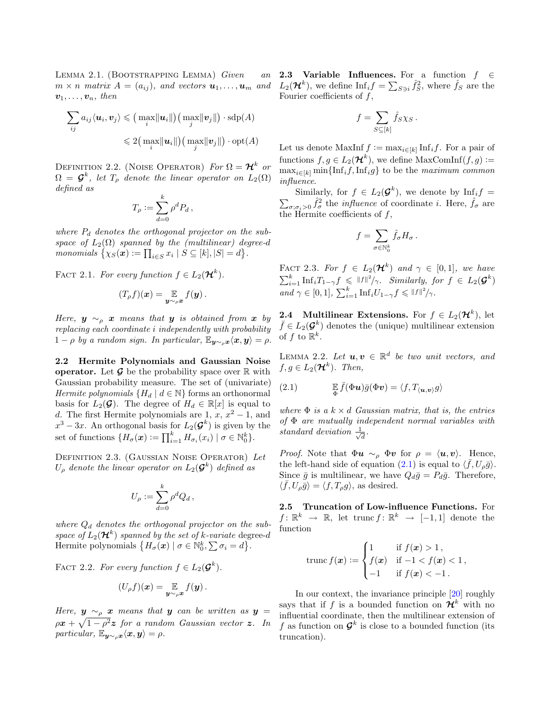LEMMA 2.1. (BOOTSTRAPPING LEMMA) Given an  $m \times n$  matrix  $A = (a_{ij})$ , and vectors  $u_1, \ldots, u_m$  and  $v_1, \ldots, v_n$ , then

$$
\sum_{ij} a_{ij} \langle \boldsymbol{u}_i, \boldsymbol{v}_j \rangle \leqslant \big( \max_i \|\boldsymbol{u}_i\| \big) \big( \max_j \|\boldsymbol{v}_j\| \big) \cdot \mathrm{sdp}(A) \leqslant 2 \big( \max_i \|\boldsymbol{u}_i\| \big) \big( \max_j \|\boldsymbol{v}_j\| \big) \cdot \mathrm{opt}(A)
$$

DEFINITION 2.2. (NOISE OPERATOR) For  $\Omega = \mathcal{H}^k$  or  $\Omega = \mathcal{G}^k$ , let  $T_\rho$  denote the linear operator on  $L_2(\Omega)$ defined as

$$
T_{\rho} := \sum_{d=0}^{k} \rho^d P_d \,,
$$

where  $P_d$  denotes the orthogonal projector on the subspace of  $L_2(\Omega)$  spanned by the (multilinear) degree-d monomials  $\{\chi_S(\boldsymbol{x})\coloneqq\prod_{i\in S}x_i\mid S\subseteq [k],|S|=d\}.$ 

FACT 2.1. For every function  $f \in L_2(\mathcal{H}^k)$ .

$$
(T_{\rho}f)(\boldsymbol{x})=\mathop{\mathbb{E}}_{\boldsymbol{y}\sim_{\rho}\boldsymbol{x}}f(\boldsymbol{y})\,.
$$

Here,  $y \sim_{\rho} x$  means that y is obtained from x by replacing each coordinate i independently with probability  $1 - \rho$  by a random sign. In particular,  $\mathbb{E}_{\mathbf{y} \sim_a \mathbf{x}} \langle \mathbf{x}, \mathbf{y} \rangle = \rho$ .

2.2 Hermite Polynomials and Gaussian Noise **operator.** Let  $\mathcal{G}$  be the probability space over  $\mathbb{R}$  with Gaussian probability measure. The set of (univariate) Hermite polynomials  $\{H_d \mid d \in \mathbb{N}\}\$  forms an orthonormal basis for  $L_2(\mathcal{G})$ . The degree of  $H_d \in \mathbb{R}[x]$  is equal to d. The first Hermite polynomials are 1,  $x, x^2 - 1$ , and  $x^3 - 3x$ . An orthogonal basis for  $L_2(\mathcal{G}^k)$  is given by the set of functions  $\{H_{\sigma}(\boldsymbol{x})\coloneqq\prod_{i=1}^{k}H_{\sigma_i}(x_i) \mid \sigma\in\mathbb{N}_0^k\}.$ 

Definition 2.3. (Gaussian Noise Operator) Let  $U_\rho$  denote the linear operator on  $L_2(\mathcal{G}^k)$  defined as

$$
U_{\rho} := \sum_{d=0}^k \rho^d Q_d \,,
$$

where  $Q_d$  denotes the orthogonal projector on the subspace of  $L_2(\mathcal{H}^k)$  spanned by the set of k-variate degree-d Hermite polynomials  $\{H_{\sigma}(\boldsymbol{x}) \mid \sigma \in \mathbb{N}_0^k, \sum \sigma_i = d\}.$ 

FACT 2.2. For every function  $f \in L_2(\mathcal{G}^k)$ .

$$
(U_{\rho}f)(x) = \mathop{\mathbb{E}}_{\boldsymbol{y}\sim_{\rho}\boldsymbol{x}}f(\boldsymbol{y}).
$$

Here,  $y \sim_{\rho} x$  means that y can be written as y =  $\rho \boldsymbol{x} + \sqrt{1-\rho^2} \boldsymbol{z}$  for a random Gaussian vector  $\boldsymbol{z}$ . In particular,  $\mathbb{E}_{\mathbf{y} \sim_{\rho} \mathbf{x}} \langle \mathbf{x}, \mathbf{y} \rangle = \rho$ .

2.3 Variable Influences. For a function  $f \in$  $L_2(\mathcal{H}^k)$ , we define  $\text{Inf}_i f = \sum_{S \ni i} \hat{f}_S^2$ , where  $\hat{f}_S$  are the Fourier coefficients of  $f$ ,

$$
f = \sum_{S \subseteq [k]} \hat{f}_{S} \chi_{S} \,.
$$

Let us denote MaxInf  $f := \max_{i \in [k]} \text{Inf}_i f$ . For a pair of functions  $f, g \in L_2(\mathcal{H}^k)$ , we define MaxComInf $(f, g) :=$  $\max_{i\in[k]} \min\{\text{Inf}_i f, \text{Inf}_i g\}$  to be the maximum common influence.

Similarly, for  $f \in L_2(\mathcal{G}^k)$ , we denote by  $\text{Inf}_i f =$  $\sum_{\sigma; \sigma_i > 0} \hat{f}_{\sigma}^2$  the *influence* of coordinate *i*. Here,  $\hat{f}_{\sigma}$  are the Hermite coefficients of  $f$ ,

$$
f = \sum_{\sigma \in \mathbb{N}_0^k} \hat{f}_{\sigma} H_{\sigma}.
$$

FACT 2.3. For  $f \in L_2(\mathcal{H}^k)$  and  $\gamma \in [0,1]$ , we have  $\sum_{i=1}^k \text{Inf}_i T_{1-\gamma} f \leqslant ||f||^2/\gamma$ . Similarly, for  $f \in L_2(\mathcal{G}^k)$ and  $\gamma \in [0, 1], \sum_{i=1}^k \mathrm{Inf}_i U_{1-\gamma} f \leqslant ||f||^2 / \gamma.$ 

**2.4** Multilinear Extensions. For  $f \in L_2(\mathcal{H}^k)$ , let  $\bar{f} \in L_2(\mathcal{G}^k)$  denotes the (unique) multilinear extension of f to  $\mathbb{R}^k$ .

<span id="page-3-1"></span>LEMMA 2.2. Let  $u, v \in \mathbb{R}^d$  be two unit vectors, and  $f, g \in L_2(\mathcal{H}^k)$ . Then,

<span id="page-3-0"></span>(2.1) 
$$
\mathbb{E}\overline{f}(\Phi u)\overline{g}(\Phi v) = \langle f, T_{\langle u, v \rangle}g \rangle
$$

where  $\Phi$  is a  $k \times d$  Gaussian matrix, that is, the entries of  $\Phi$  are mutually independent normal variables with standard deviation  $\frac{1}{\sqrt{2}}$  $\frac{1}{d}$ .

*Proof.* Note that  $\Phi u \sim_{\rho} \Phi v$  for  $\rho = \langle u, v \rangle$ . Hence, the left-hand side of equation [\(2.1\)](#page-3-0) is equal to  $\langle \bar{f}, U_{\rho} \bar{g} \rangle$ . Since  $\bar{g}$  is multilinear, we have  $Q_d\bar{g} = P_d\bar{g}$ . Therefore,  $\langle \bar{f}, U_{\rho} \bar{g} \rangle = \langle f, T_{\rho} g \rangle$ , as desired.

2.5 Truncation of Low-influence Functions. For  $f: \mathbb{R}^k \to \mathbb{R}$ , let trunc  $f: \mathbb{R}^k \to [-1,1]$  denote the function

$$
\text{trunc}\, f(\boldsymbol{x}) := \begin{cases} 1 & \text{if } f(\boldsymbol{x}) > 1, \\ f(\boldsymbol{x}) & \text{if } -1 < f(\boldsymbol{x}) < 1, \\ -1 & \text{if } f(\boldsymbol{x}) < -1. \end{cases}
$$

In our context, the invariance principle [\[20\]](#page-9-20) roughly says that if f is a bounded function on  $\mathcal{H}^k$  with no influential coordinate, then the multilinear extension of f as function on  $\mathcal{G}^k$  is close to a bounded function (its truncation).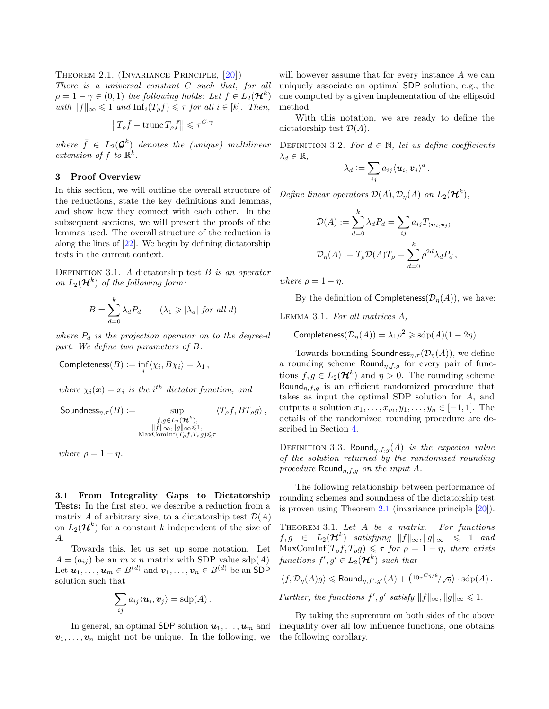Theorem 2.1. (Invariance Principle, [\[20\]](#page-9-20)) There is a universal constant C such that, for all  $\rho = 1 - \gamma \in (0,1)$  the following holds: Let  $f \in L_2(\mathcal{H}^k)$ with  $||f||_{\infty} \leq 1$  and  $\text{Inf}_i(T_\rho f) \leq \tau$  for all  $i \in [k]$ . Then,

$$
\left\|T_\rho \bar{f} - \mathrm{trunc}\, T_\rho \bar{f}\right\| \leqslant \tau^{C\cdot \gamma}
$$

where  $\bar{f} \in L_2(\mathcal{G}^k)$  denotes the (unique) multilinear extension of f to  $\mathbb{R}^k$ .

#### <span id="page-4-0"></span>3 Proof Overview

In this section, we will outline the overall structure of the reductions, state the key definitions and lemmas, and show how they connect with each other. In the subsequent sections, we will present the proofs of the lemmas used. The overall structure of the reduction is along the lines of [\[22\]](#page-9-2). We begin by defining dictatorship tests in the current context.

DEFINITION 3.1. A dictatorship test  $B$  is an operator on  $L_2(\mathcal{H}^k)$  of the following form:

$$
B = \sum_{d=0}^{k} \lambda_d P_d \qquad (\lambda_1 \geq |\lambda_d| \text{ for all } d)
$$

where  $P_d$  is the projection operator on to the degree-d part. We define two parameters of B:

$$
\mathsf{Completeness}(B) := \inf_i \langle \chi_i, B\chi_i \rangle = \lambda_1 \,,
$$

where  $\chi_i(\mathbf{x}) = x_i$  is the i<sup>th</sup> dictator function, and

$$
\text{Soundness}_{\eta,\tau}(B) := \sup_{\substack{f,g \in L_2(\mathcal{H}^k),\\ \|f\|_{\infty}, \|g\|_{\infty} \leqslant 1, \\ \text{MaxComInf}(T_{\rho}f,T_{\rho}g) \leqslant \tau}} \langle T_{\rho}f,BT_{\rho}g \rangle \,,
$$

where  $\rho = 1 - \eta$ .

<span id="page-4-1"></span>3.1 From Integrality Gaps to Dictatorship Tests: In the first step, we describe a reduction from a matrix A of arbitrary size, to a dictatorship test  $\mathcal{D}(A)$ on  $L_2(\mathcal{H}^k)$  for a constant k independent of the size of A.

Towards this, let us set up some notation. Let  $A = (a_{ij})$  be an  $m \times n$  matrix with SDP value sdp(A). Let  $u_1, \ldots, u_m \in B^{(d)}$  and  $v_1, \ldots, v_n \in B^{(d)}$  be an SDP solution such that

$$
\sum_{ij} a_{ij} \langle \boldsymbol{u}_i, \boldsymbol{v}_j \rangle = \mathrm{sdp}(A) .
$$

In general, an optimal SDP solution  $u_1, \ldots, u_m$  and  $v_1, \ldots, v_n$  might not be unique. In the following, we will however assume that for every instance A we can uniquely associate an optimal SDP solution, e.g., the one computed by a given implementation of the ellipsoid method.

With this notation, we are ready to define the dictatorship test  $\mathcal{D}(A)$ .

DEFINITION 3.2. For  $d \in \mathbb{N}$ , let us define coefficients  $\lambda_d \in \mathbb{R}$ ,

$$
\lambda_d := \sum_{ij} a_{ij} \langle \boldsymbol{u}_i, \boldsymbol{v}_j \rangle^d \,.
$$

Define linear operators  $\mathcal{D}(A), \mathcal{D}_{\eta}(A)$  on  $L_2(\mathcal{H}^k)$ ,

$$
\mathcal{D}(A) := \sum_{d=0}^{k} \lambda_d P_d = \sum_{ij} a_{ij} T_{\langle \mathbf{u}_i, \mathbf{v}_j \rangle}
$$
  

$$
\mathcal{D}_{\eta}(A) := T_{\rho} \mathcal{D}(A) T_{\rho} = \sum_{d=0}^{k} \rho^{2d} \lambda_d P_d,
$$

where  $\rho = 1 - \eta$ .

By the definition of Completeness $(\mathcal{D}_n(A))$ , we have:

Lemma 3.1. For all matrices A,

Completeness $(\mathcal{D}_\eta(A)) = \lambda_1 \rho^2 \geqslant \mathrm{sdp}(A) (1 - 2\eta)$ .

Towards bounding Soundness<sub>η,  $\tau(\mathcal{D}_{\eta}(A))$ , we define</sub> a rounding scheme Round<sub>n,f,g</sub> for every pair of functions  $f, g \in L_2(\mathcal{H}^k)$  and  $\eta > 0$ . The rounding scheme Round<sub>n,f,g</sub> is an efficient randomized procedure that takes as input the optimal SDP solution for A, and outputs a solution  $x_1, \ldots, x_m, y_1, \ldots, y_n \in [-1, 1]$ . The details of the randomized rounding procedure are described in Section [4.](#page-7-0)

DEFINITION 3.3. Round<sub>n,f,g</sub>(A) is the expected value of the solution returned by the randomized rounding procedure Round<sub>n,f,g</sub> on the input A.

The following relationship between performance of rounding schemes and soundness of the dictatorship test is proven using Theorem [2.1](#page-1-1) (invariance principle [\[20\]](#page-9-20)).

THEOREM 3.1. Let  $A$  be a matrix. For functions  $f,g \;\;\in\;\; L_2(\mathcal{H}^k)$  satisfying  $\|f\|_{\infty}, \|g\|_{\infty} \;\;\leqslant\;\;1$  and  $\text{MaxComInf}(T_{\rho}f, T_{\rho}g) \leq \tau$  for  $\rho = 1 - \eta$ , there exists functions  $f', g' \in L_2(\mathcal{H}^k)$  such that

$$
\langle f, \mathcal{D}_{\eta}(A)g \rangle \leq \text{Round}_{\eta, f', g'}(A) + \left(10\tau^{C\eta/8}/\sqrt{\eta}\right) \cdot \text{sdp}(A).
$$

Further, the functions  $f', g'$  satisfy  $||f||_{\infty}, ||g||_{\infty} \leq 1$ .

<span id="page-4-2"></span>By taking the supremum on both sides of the above inequality over all low influence functions, one obtains the following corollary.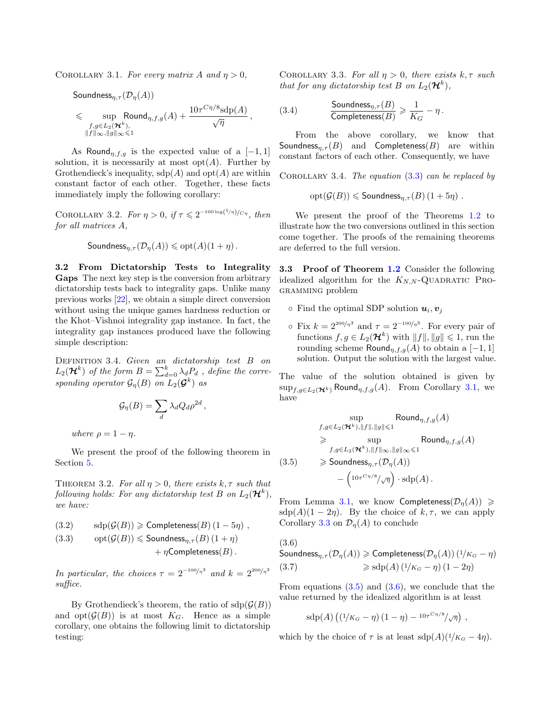COROLLARY 3.1. For every matrix A and  $\eta > 0$ ,

$$
\begin{aligned} &\text{Soundness}_{\eta, \tau}(\mathcal{D}_{\eta}(A)) \\ &\leqslant \sup_{\substack{f, g \in L_2(\boldsymbol{\mathcal{H}}^k), \\ \|f\|_{\infty}, \|g\|_{\infty} \leqslant 1}} \text{Round}_{\eta, f, g}(A) + \frac{10 \tau^{C\eta/8} \text{sdp}(A)}{\sqrt{\eta}} \,, \end{aligned}
$$

As Round<sub>n,f,g</sub> is the expected value of a [-1,1] solution, it is necessarily at most  $opt(A)$ . Further by Grothendieck's inequality,  $\text{sdp}(A)$  and  $\text{opt}(A)$  are within constant factor of each other. Together, these facts immediately imply the following corollary:

<span id="page-5-5"></span>COROLLARY 3.2. For  $\eta > 0$ , if  $\tau \leq 2^{-100 \log(1/\eta)/C\eta}$ , then for all matrices A,

$$
\mathsf{Soundness}_{\eta,\tau}(\mathcal{D}_{\eta}(A)) \leqslant \mathrm{opt}(A)(1+\eta)\,.
$$

<span id="page-5-0"></span>3.2 From Dictatorship Tests to Integrality Gaps The next key step is the conversion from arbitrary dictatorship tests back to integrality gaps. Unlike many previous works [\[22\]](#page-9-2), we obtain a simple direct conversion without using the unique games hardness reduction or the Khot–Vishnoi integrality gap instance. In fact, the integrality gap instances produced have the following simple description:

DEFINITION 3.4. Given an dictatorship test B on  $L_2(\mathcal{H}^k)$  of the form  $B=\sum_{d=0}^k\lambda_dP_d$  , define the corresponding operator  $\mathcal{G}_{\eta}(B)$  on  $L_2(\mathcal{G}^k)$  as

$$
\mathcal{G}_{\eta}(B) = \sum_{d} \lambda_{d} Q_{d} \rho^{2d},
$$

where  $\rho = 1 - \eta$ .

We present the proof of the following theorem in Section [5.](#page-7-1)

THEOREM 3.2. For all  $\eta > 0$ , there exists  $k, \tau$  such that following holds: For any dictatorship test B on  $L_2(\mathcal{H}^k)$ , we have:

<span id="page-5-1"></span>(3.2) 
$$
sdp(\mathcal{G}(B)) \geq \text{Completeness}(B) (1 - 5\eta) ,
$$
  
(3.3) 
$$
opt(\mathcal{G}(B)) \leq \text{Soundness}_{\eta, \tau}(B) (1 + \eta) + \eta \text{Completeness}(B).
$$

In particular, the choices  $\tau = 2^{-100/\eta^3}$  and  $k = 2^{200/\eta^3}$ suffice.

<span id="page-5-2"></span>By Grothendieck's theorem, the ratio of  $\text{sdp}(\mathcal{G}(B))$ and  $opt(G(B))$  is at most  $K_G$ . Hence as a simple corollary, one obtains the following limit to dictatorship testing:

COROLLARY 3.3. For all  $\eta > 0$ , there exists  $k, \tau$  such that for any dictatorship test B on  $L_2(\mathcal{H}^k)$ ,

(3.4) 
$$
\frac{\text{Soundness}_{\eta,\tau}(B)}{\text{Completeness}(B)} \geqslant \frac{1}{K_G} - \eta.
$$

From the above corollary, we know that Soundness $_{n,\tau}(B)$  and Completeness $(B)$  are within constant factors of each other. Consequently, we have

COROLLARY 3.4. The equation  $(3.3)$  can be replaced by

$$
opt(G(B)) \leq
$$
 Soundness <sub>$\eta, \tau$</sub>  $(B) (1 + 5\eta)$ .

We present the proof of the Theorems [1.2](#page-1-2) to illustrate how the two conversions outlined in this section come together. The proofs of the remaining theorems are deferred to the full version.

3.3 Proof of Theorem [1.2](#page-1-2) Consider the following idealized algorithm for the  $K_{N,N}$ -QUADRATIC PROgramming problem

- Find the optimal SDP solution  $u_i, v_j$
- $\circ$  Fix  $k = 2^{200/\eta^3}$  and  $\tau = 2^{-100/\eta^3}$ . For every pair of functions  $f, g \in L_2(\mathcal{H}^k)$  with  $||f||, ||g|| \leq 1$ , run the rounding scheme Round<sub>n,f,g</sub>(A) to obtain a [-1,1] solution. Output the solution with the largest value.

The value of the solution obtained is given by  $\sup_{f,g\in L_2(\mathcal{H}^k)}$  Round $_{\eta,f,g}(A)$ . From Corollary [3.1,](#page-4-2) we have

<span id="page-5-3"></span>
$$
\sup_{f,g\in L_2(\mathcal{H}^k), \|f\|, \|g\| \leq 1} \text{Round}_{\eta, f, g}(A)
$$
\n
$$
\geq \sup_{f,g\in L_2(\mathcal{H}^k), \|f\|_{\infty}, \|g\|_{\infty} \leq 1} \text{Round}_{\eta, f, g}(A)
$$
\n(3.5) 
$$
\geq \text{Soundness}_{\eta, \tau}(\mathcal{D}_{\eta}(A))
$$
\n
$$
-\left(\frac{10\tau^{C\eta/8}}{\sqrt{\eta}}\right) \cdot \text{sdp}(A).
$$

From Lemma [3.1,](#page-2-1) we know Completeness  $(\mathcal{D}_n(A)) \ge$  $\text{sdp}(A)(1-2\eta)$ . By the choice of  $k, \tau$ , we can apply Corollary [3.3](#page-5-2) on  $\mathcal{D}_n(A)$  to conclude

<span id="page-5-4"></span>Soundness $_{\eta,\tau}(\mathcal{D}_{\eta}(A)) \geqslant$  Completeness $(\mathcal{D}_{\eta}(A))$   $(1/K_G - \eta)$ (3.6)  $\Rightarrow$  sdp(A) (1/K<sub>G</sub> – η) (1 – 2η)

From equations  $(3.5)$  and  $(3.6)$ , we conclude that the value returned by the idealized algorithm is at least

$$
sdp(A) ((1/\kappa_G - \eta) (1 - \eta) - 10\tau^{C\eta/8}/\sqrt{\eta}),
$$

which by the choice of  $\tau$  is at least sdp(A)( $\frac{1}{K_G} - 4\eta$ ).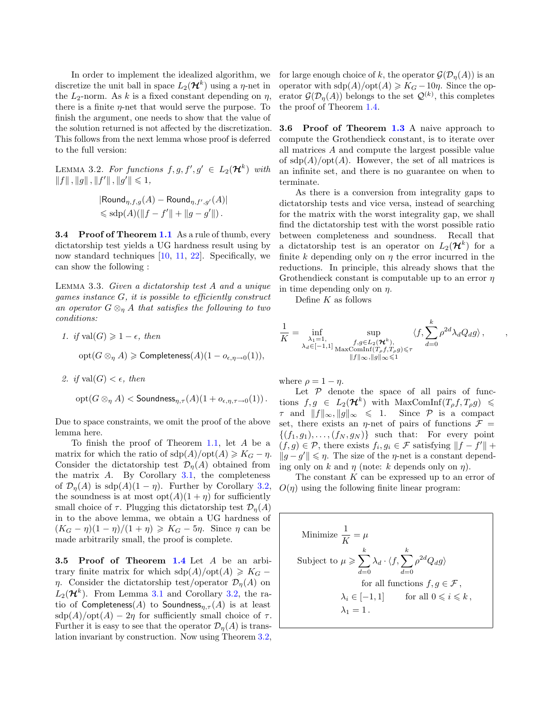In order to implement the idealized algorithm, we discretize the unit ball in space  $L_2(\mathcal{H}^k)$  using a  $\eta$ -net in the  $L_2$ -norm. As k is a fixed constant depending on  $\eta$ , there is a finite  $\eta$ -net that would serve the purpose. To finish the argument, one needs to show that the value of the solution returned is not affected by the discretization. This follows from the next lemma whose proof is deferred to the full version:

LEMMA 3.2. For functions  $f, g, f', g' \in L_2(\mathcal{H}^k)$  with  $||f||, ||g||, ||f'||, ||g'|| \leq 1,$ 

$$
|\text{Round}_{\eta, f, g}(A) - \text{Round}_{\eta, f', g'}(A)|
$$
  
\$\leq \text{sdp}(A)(\|f - f'\| + \|g - g'\|).

**3.4 Proof of Theorem [1.1](#page-1-1)** As a rule of thumb, every dictatorship test yields a UG hardness result using by now standard techniques [\[10,](#page-9-21) [11,](#page-9-19) [22\]](#page-9-2). Specifically, we can show the following :

<span id="page-6-0"></span>Lemma 3.3. Given a dictatorship test A and a unique games instance  $G$ , it is possible to efficiently construct an operator  $G \otimes_{\eta} A$  that satisfies the following to two conditions:

1. if 
$$
val(G) \ge 1 - \epsilon
$$
, then  
  $opt(G \otimes_{\eta} A) \ge \text{Completeness}(A)(1 - o_{\epsilon, \eta \to 0}(1)),$ 

2. if  $val(G) < \epsilon$ , then

$$
\mathrm{opt}(G \otimes_{\eta} A) < \mathsf{Soundness}_{\eta, \tau}(A)(1 + o_{\epsilon, \eta, \tau \to 0}(1))\,.
$$

Due to space constraints, we omit the proof of the above lemma here.

To finish the proof of Theorem [1.1,](#page-1-1) let A be a matrix for which the ratio of  $\text{sdp}(A)/\text{opt}(A) \geqslant K_G - \eta$ . Consider the dictatorship test  $\mathcal{D}_n(A)$  obtained from the matrix  $A$ . By Corollary [3.1,](#page-2-1) the completeness of  $\mathcal{D}_\eta(A)$  is sdp $(A)(1 - \eta)$ . Further by Corollary [3.2,](#page-5-5) the soundness is at most  $opt(A)(1 + \eta)$  for sufficiently small choice of  $\tau$ . Plugging this dictatorship test  $\mathcal{D}_n(A)$ in to the above lemma, we obtain a UG hardness of  $(K_G - \eta)(1 - \eta)/(1 + \eta) \geq K_G - 5\eta$ . Since  $\eta$  can be made arbitrarily small, the proof is complete.

3.5 Proof of Theorem [1.4](#page-1-0) Let A be an arbitrary finite matrix for which  $\text{sdp}(A)/\text{opt}(A) \geqslant K_G$ η. Consider the dictatorship test/operator  $\mathcal{D}_\eta(A)$  on  $L_2(\mathcal{H}^k)$ . From Lemma [3.1](#page-2-1) and Corollary [3.2,](#page-5-5) the ratio of Completeness(A) to Soundness<sub>n, $\tau$ </sub>(A) is at least  $\text{sdp}(A)/\text{opt}(A) - 2\eta$  for sufficiently small choice of  $\tau$ . Further it is easy to see that the operator  $\mathcal{D}_n(A)$  is translation invariant by construction. Now using Theorem [3.2,](#page-1-2) for large enough choice of k, the operator  $\mathcal{G}(\mathcal{D}_n(A))$  is an operator with  $\text{sdp}(A)/\text{opt}(A) \geqslant K_G - 10\eta$ . Since the operator  $\mathcal{G}(\mathcal{D}_\eta(A))$  belongs to the set  $\mathcal{Q}^{(k)}$ , this completes the proof of Theorem [1.4.](#page-1-0)

**3.6 Proof of Theorem [1.3](#page-1-3)** A naive approach to compute the Grothendieck constant, is to iterate over all matrices A and compute the largest possible value of  $\text{sdp}(A)/\text{opt}(A)$ . However, the set of all matrices is an infinite set, and there is no guarantee on when to terminate.

As there is a conversion from integrality gaps to dictatorship tests and vice versa, instead of searching for the matrix with the worst integrality gap, we shall find the dictatorship test with the worst possible ratio between completeness and soundness. Recall that a dictatorship test is an operator on  $L_2(\mathcal{H}^k)$  for a finite k depending only on  $\eta$  the error incurred in the reductions. In principle, this already shows that the Grothendieck constant is computable up to an error  $\eta$ in time depending only on  $\eta$ .

Define  $K$  as follows

$$
\frac{1}{K} = \inf_{\substack{\lambda_1 = 1, \\ \lambda_d \in [-1,1]}} \sup_{\substack{f,g \in L_2(\mathcal{H}^k), \\ \text{MaxComInf}(T_\rho f, T_\rho g) \leqslant \tau}} \langle f, \sum_{d=0}^k \rho^{2d} \lambda_d Q_d g \rangle, \qquad ,
$$

where  $\rho = 1 - \eta$ .

Let  $P$  denote the space of all pairs of functions  $f, g \in L_2(\mathcal{H}^k)$  with  $\text{MaxComInf}(T_\rho f, T_\rho g) \leq$  $\tau$  and  $||f||_{\infty}, ||g||_{\infty} \le 1$ . Since  $P$  is a compact set, there exists an  $\eta$ -net of pairs of functions  $\mathcal{F} =$  $\{(f_1, g_1), \ldots, (f_N, g_N)\}\$  such that: For every point  $(f,g) \in \mathcal{P}$ , there exists  $f_i, g_i \in \mathcal{F}$  satisfying  $||f - f'|| +$  $||g - g'|| \leq \eta$ . The size of the  $\eta$ -net is a constant depending only on k and  $\eta$  (note: k depends only on  $\eta$ ).

The constant  $K$  can be expressed up to an error of  $O(\eta)$  using the following finite linear program:

Minimize 
$$
\frac{1}{K} = \mu
$$
  
\nSubject to  $\mu \ge \sum_{d=0}^{k} \lambda_d \cdot \langle f, \sum_{d=0}^{k} \rho^{2d} Q_d g \rangle$   
\nfor all functions  $f, g \in \mathcal{F}$ ,  
\n $\lambda_i \in [-1, 1]$  for all  $0 \le i \le k$ ,  
\n $\lambda_1 = 1$ .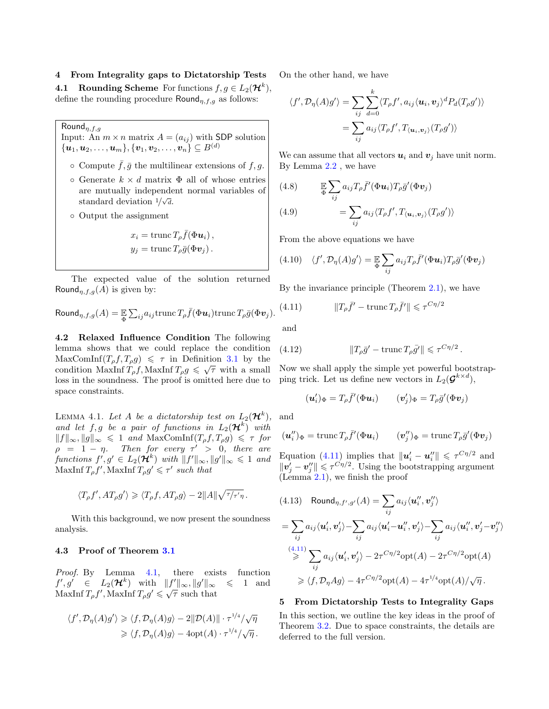<span id="page-7-0"></span>4 From Integrality gaps to Dictatorship Tests

**4.1** Rounding Scheme For functions  $f, g \in L_2(\mathcal{H}^k)$ , define the rounding procedure  $\text{Round}_{\eta, f, g}$  as follows:

 $\mathsf{Round}_{\eta,f,g}$ 

Input: An  $m \times n$  matrix  $A = (a_{ij})$  with SDP solution  $\{ {\boldsymbol u}_1, {\boldsymbol u}_2, \dots, {\boldsymbol u}_m \}, \{ {\boldsymbol v}_1, {\boldsymbol v}_2, \dots, {\boldsymbol v}_n \} \subseteq B^{(d)}$ 

- $\circ$  Compute  $\bar{f}, \bar{g}$  the multilinear extensions of f, g.
- Generate k × d matrix Φ all of whose entries are mutually independent normal variables of standard deviation  $1/\sqrt{d}$ .
- Output the assignment

$$
x_i = \text{trunc}\,T_\rho \bar{f}(\Phi u_i)\,,
$$
  

$$
y_j = \text{trunc}\,T_\rho \bar{g}(\Phi v_j)\,.
$$

The expected value of the solution returned Round<sub>n,f,g</sub>(A) is given by:

Round<sub>$$
\eta
$$
, $f,g(A) = \mathbb{E} \sum_{ij} a_{ij} \text{trunc } T_{\rho} \overline{f}(\Phi u_i) \text{trunc } T_{\rho} \overline{g}(\Phi v_j).$</sub> 

4.2 Relaxed Influence Condition The following lemma shows that we could replace the condition  $\text{MaxComInf}(T_{\rho}f, T_{\rho}g) \leq \tau \text{ in Definition 3.1 by the}$  $\text{MaxComInf}(T_{\rho}f, T_{\rho}g) \leq \tau \text{ in Definition 3.1 by the}$  $\text{MaxComInf}(T_{\rho}f, T_{\rho}g) \leq \tau \text{ in Definition 3.1 by the}$ condition MaxInf  $T_{\rho}f$ , MaxInf  $T_{\rho}g \leq \sqrt{\tau}$  with a small loss in the soundness. The proof is omitted here due to space constraints.

LEMMA 4.1. Let A be a dictatorship test on  $L_2(\mathcal{H}^k)$ , and let  $f, g$  be a pair of functions in  $L_2(\mathcal{H}^k)$  with  $||f||_{\infty}, ||g||_{\infty} \le 1$  and MaxComInf $(T_{\rho}f, T_{\rho}g) \le \tau$  for  $\rho = 1 - \eta$ . Then for every  $\tau' > 0$ , there are functions  $f', g' \in L_2(\mathcal{H}^k)$  with  $||f'||_{\infty}, ||g'||_{\infty} \leq 1$  and MaxInf  $T_{\rho}f'$ , MaxInf  $T_{\rho}g' \leq \tau'$  such that

$$
\langle T_\rho f^\prime, AT_\rho g^\prime\rangle\geqslant \langle T_\rho f, AT_\rho g\rangle-2\|A\|\sqrt{\tau/\tau^\prime\eta}\,.
$$

With this background, we now present the soundness analysis.

## 4.3 Proof of Theorem [3.1](#page-1-1)

Proof. By Lemma [4.1,](#page-2-1) there exists function  $f', g' \in L_2(\mathcal{H}^k)$  with  $||f'||_{\infty}, ||g||$  $≤$  1 and MaxInf  $T_{\rho}f'$ , MaxInf  $T_{\rho}g' \leq \sqrt{\tau}$  such that

$$
\langle f', \mathcal{D}_{\eta}(A)g' \rangle \geq \langle f, \mathcal{D}_{\eta}(A)g \rangle - 2||\mathcal{D}(A)|| \cdot \tau^{1/4}/\sqrt{\eta}
$$
  

$$
\geq \langle f, \mathcal{D}_{\eta}(A)g \rangle - 4\mathrm{opt}(A) \cdot \tau^{1/4}/\sqrt{\eta}.
$$

On the other hand, we have

$$
\langle f', \mathcal{D}_{\eta}(A)g' \rangle = \sum_{ij} \sum_{d=0}^{k} \langle T_{\rho}f', a_{ij} \langle \mathbf{u}_i, \mathbf{v}_j \rangle^d P_d(T_{\rho}g') \rangle
$$

$$
= \sum_{ij} a_{ij} \langle T_{\rho}f', T_{\langle \mathbf{u}_i, \mathbf{v}_j \rangle}(T_{\rho}g') \rangle
$$

We can assume that all vectors  $u_i$  and  $v_j$  have unit norm. By Lemma [2.2](#page-3-1) , we have

(4.8) 
$$
\mathbb{E}\sum_{ij} a_{ij} T_{\rho} \bar{f}'(\Phi u_i) T_{\rho} \bar{g}'(\Phi v_j)
$$

(4.9) 
$$
= \sum_{ij} a_{ij} \langle T_{\rho} f', T_{\langle \mathbf{u}_i, \mathbf{v}_j \rangle} (T_{\rho} g') \rangle
$$

From the above equations we have

(4.10) 
$$
\langle f', \mathcal{D}_{\eta}(A)g' \rangle = \mathbb{E}_{\Phi} \sum_{ij} a_{ij} T_{\rho} \bar{f}'(\Phi \mathbf{u}_i) T_{\rho} \bar{g}'(\Phi \mathbf{v}_j)
$$

By the invariance principle (Theorem [2.1\)](#page-1-1), we have

<span id="page-7-2"></span>(4.11) 
$$
||T_{\rho}\bar{f}' - \text{trunc}\,T_{\rho}\bar{f}'|| \leq \tau^{C\eta/2}
$$

and

(4.12) 
$$
\|T_{\rho}\bar{g}'-\text{trunc}\,T_{\rho}\bar{g}'\| \leqslant \tau^{C\eta/2}.
$$

Now we shall apply the simple yet powerful bootstrapping trick. Let us define new vectors in  $L_2(\mathcal{G}^{k \times d})$ ,

$$
(\boldsymbol{u}_i')_{\Phi} = T_{\rho} \bar{f}'(\Phi \boldsymbol{u}_i) \qquad (\boldsymbol{v}_j')_{\Phi} = T_{\rho} \bar{g}'(\Phi \boldsymbol{v}_j)
$$

and

$$
(\boldsymbol{u}_i'')_{\Phi} = \operatorname{trunc} T_{\rho} \bar{f}'(\Phi \boldsymbol{u}_i) \qquad (\boldsymbol{v}_j'')_{\Phi} = \operatorname{trunc} T_{\rho} \bar{g}'(\Phi \boldsymbol{v}_j)
$$

Equation [\(4.11\)](#page-7-2) implies that  $\|\mathbf{u}'_i - \mathbf{u}''_i\| \leq \tau^{C\eta/2}$  and  $\|\vec{\bm{v}_j'}-\bm{v}_j''\| \leqslant \tau^{\vec{C}\eta/2}$ . Using the bootstrapping argument (Lemma [2.1\)](#page-2-1), we finish the proof

$$
(4.13) \quad \text{Round}_{\eta, f', g'}(A) = \sum_{ij} a_{ij} \langle \mathbf{u}_i'', \mathbf{v}_j'' \rangle
$$
\n
$$
= \sum_{ij} a_{ij} \langle \mathbf{u}_i', \mathbf{v}_j' \rangle - \sum_{ij} a_{ij} \langle \mathbf{u}_i' - \mathbf{u}_i'', \mathbf{v}_j' \rangle - \sum_{ij} a_{ij} \langle \mathbf{u}_i'', \mathbf{v}_j' - \mathbf{v}_j'' \rangle
$$
\n
$$
\stackrel{(4.11)}{\geq} \sum_{ij} a_{ij} \langle \mathbf{u}_i', \mathbf{v}_j' \rangle - 2\tau^{C\eta/2} \text{opt}(A) - 2\tau^{C\eta/2} \text{opt}(A)
$$
\n
$$
\geq \langle f, \mathcal{D}_{\eta} A g \rangle - 4\tau^{C\eta/2} \text{opt}(A) - 4\tau^{1/4} \text{opt}(A) / \sqrt{\eta}.
$$

#### <span id="page-7-1"></span>5 From Dictatorship Tests to Integrality Gaps

In this section, we outline the key ideas in the proof of Theorem [3.2.](#page-1-2) Due to space constraints, the details are deferred to the full version.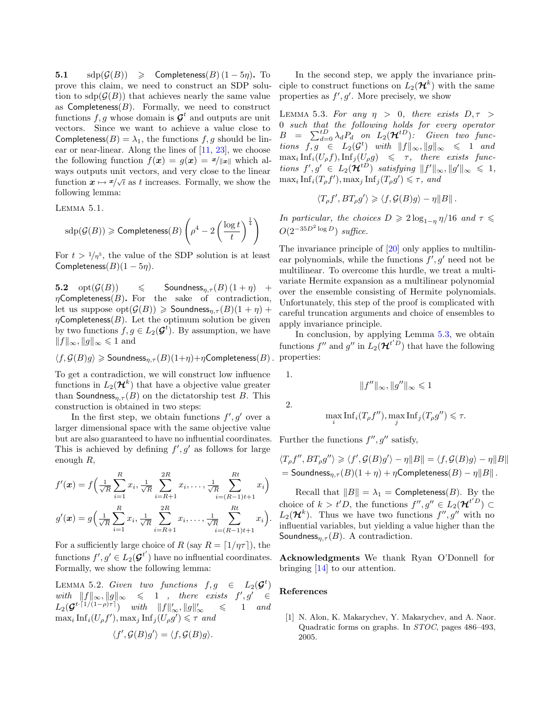5.1  $\text{sdp}(\mathcal{G}(B)) \geqslant \text{Completeness}(B) (1-5\eta).$  To prove this claim, we need to construct an SDP solution to  $\text{sdp}(\mathcal{G}(B))$  that achieves nearly the same value as  $Complex(B)$ . Formally, we need to construct functions  $f, g$  whose domain is  $\mathcal{G}^t$  and outputs are unit vectors. Since we want to achieve a value close to Completeness( $B$ ) =  $\lambda_1$ , the functions f, g should be linear or near-linear. Along the lines of [\[11,](#page-9-19) [23\]](#page-9-1), we choose the following function  $f(x) = g(x) = x/||x||$  which always outputs unit vectors, and very close to the linear function  $\mathbf{x} \mapsto \mathbf{x}/\sqrt{t}$  as t increases. Formally, we show the following lemma:

Lemma 5.1.

$$
\operatorname{sdp}(\mathcal{G}(B)) \geqslant \textsf{Completeness}(B)\left(\rho^4 - 2\left(\frac{\log{t}}{t}\right)^{\frac{1}{4}}\right)
$$

For  $t > 1/\eta^5$ , the value of the SDP solution is at least Completeness $(B)(1-5\eta)$ .

**5.2**  $opt(\mathcal{G}(B)) \leq$  Soundness<sub> $\eta, \tau(B) (1 + \eta) +$ </sub>  $\eta$ Completeness(B). For the sake of contradiction, let us suppose  $opt(G(B)) \geqslant$  Soundness $_{\eta,\tau}(B)(1+\eta)$  +  $\eta$ Completeness(*B*). Let the optimum solution be given by two functions  $f, g \in L_2(\mathcal{G}^t)$ . By assumption, we have  $||f||_{\infty}, ||g||_{\infty} \le 1$  and

$$
\langle f, \mathcal{G}(B)g \rangle \geqslant \mathsf{Soundness}_{\eta, \tau}(B)(1+\eta) + \eta \mathsf{Completeness}(B)\,.
$$

To get a contradiction, we will construct low influence functions in  $L_2(\mathcal{H}^k)$  that have a objective value greater than Soundness<sub>n,τ</sub> (B) on the dictatorship test B. This construction is obtained in two steps:

In the first step, we obtain functions  $f', g'$  over a larger dimensional space with the same objective value but are also guaranteed to have no influential coordinates. This is achieved by defining  $f', g'$  as follows for large enough R,

$$
f'(\boldsymbol{x}) = f\Big(\frac{1}{\sqrt{R}}\sum_{i=1}^{R}x_i, \frac{1}{\sqrt{R}}\sum_{i=R+1}^{2R}x_i, \dots, \frac{1}{\sqrt{R}}\sum_{i=(R-1)t+1}^{Rt}x_i\Big) g'(\boldsymbol{x}) = g\Big(\frac{1}{\sqrt{R}}\sum_{i=1}^{R}x_i, \frac{1}{\sqrt{R}}\sum_{i=R+1}^{2R}x_i, \dots, \frac{1}{\sqrt{R}}\sum_{i=(R-1)t+1}^{Rt}x_i\Big).
$$

For a sufficiently large choice of R (say  $R = \lfloor 1/\eta \tau \rfloor$ ), the functions  $f', g' \in L_2(\mathcal{G}^{t'})$  have no influential coordinates. Formally, we show the following lemma:

LEMMA 5.2. Given two functions  $f, g \in L_2(\mathcal{G}^t)$ with  $||f||_{\infty}, ||g||_{\infty} \le 1$ , there exists  $f', g' \in$  $L_2(\mathcal{G}^{t \cdot \lceil 1/(1-\rho)\tau \rceil}) \quad \textit{with} \quad \|f\|'_{\infty}, \|g\|'_{\infty}$  $\leqslant 1$  and  $\max_i \text{Inf}_i(U_\rho f'), \max_j \text{Inf}_j(U_\rho g') \leq \tau$  and

$$
\langle f', \mathcal{G}(B)g' \rangle = \langle f, \mathcal{G}(B)g \rangle.
$$

In the second step, we apply the invariance principle to construct functions on  $L_2(\mathcal{H}^k)$  with the same properties as  $f', g'$ . More precisely, we show

LEMMA 5.3. For any  $\eta > 0$ , there exists  $D, \tau >$ 0 such that the following holds for every operator  $B = \sum_{d=0}^{tD} \lambda_d P_d$  on  $L_2(\mathcal{H}^{tD})$ : Given two functions  $f, g \in L_2(\mathcal{G}^t)$  with  $||f||_{\infty}, ||g||_{\infty} \leq 1$  and  $\max_i \text{Inf}_i(U_\rho f), \text{Inf}_j(U_\rho g) \leq \tau$ , there exists functions  $f', g' \in L_2(\mathcal{H}^{tD})$  satisfying  $||f'||_{\infty}, ||g'||_{\infty} \leq 1$ ,  $\max_i \text{Inf}_i(T_\rho f'), \max_j \text{Inf}_j(T_\rho g') \leq \tau$ , and

$$
\langle T_{\rho}f', BT_{\rho}g' \rangle \geq \langle f, \mathcal{G}(B)g \rangle - \eta ||B||.
$$

In particular, the choices  $D \geq 2 \log_{1-n} \eta/16$  and  $\tau \leq$  $O(2^{-35D^2 \log D})$  suffice.

The invariance principle of [\[20\]](#page-9-20) only applies to multilinear polynomials, while the functions  $f', g'$  need not be multilinear. To overcome this hurdle, we treat a multivariate Hermite expansion as a multilinear polynomial over the ensemble consisting of Hermite polynomials. Unfortunately, this step of the proof is complicated with careful truncation arguments and choice of ensembles to apply invariance principle.

In conclusion, by applying Lemma [5.3,](#page-6-0) we obtain functions  $f''$  and  $g''$  in  $L_2(\mathcal{H}^{t'D})$  that have the following properties:

1.

2.

$$
\max_{i} \mathrm{Inf}_{i}(T_{\rho}f''), \max_{j} \mathrm{Inf}_{j}(T_{\rho}g'') \leq \tau.
$$

 $||f''||_{\infty}$ ,  $||g''||_{\infty} \leq 1$ 

Further the functions  $f'', g''$  satisfy,

$$
\langle T_{\rho}f'', BT_{\rho}g'' \rangle \geq \langle f', \mathcal{G}(B)g' \rangle - \eta ||B|| = \langle f, \mathcal{G}(B)g \rangle - \eta ||B||
$$
  
= Soundness <sub>$\eta, \tau$</sub> (B)(1 +  $\eta$ ) +  $\eta$ Completeness(B) -  $\eta$ ||B||.

Recall that  $||B|| = \lambda_1 =$  Completeness(B). By the choice of  $k > t'D$ , the functions  $f'', g'' \in L_2(\mathcal{H}^{t'D}) \subset$  $L_2(\mathcal{H}^k)$ . Thus we have two functions  $f'', g''$  with no influential variables, but yielding a value higher than the Soundness $_{\eta,\tau}(B)$ . A contradiction.

Acknowledgments We thank Ryan O'Donnell for bringing [\[14\]](#page-9-12) to our attention.

#### References

<span id="page-8-0"></span>[1] N. Alon, K. Makarychev, Y. Makarychev, and A. Naor. Quadratic forms on graphs. In STOC, pages 486–493, 2005.